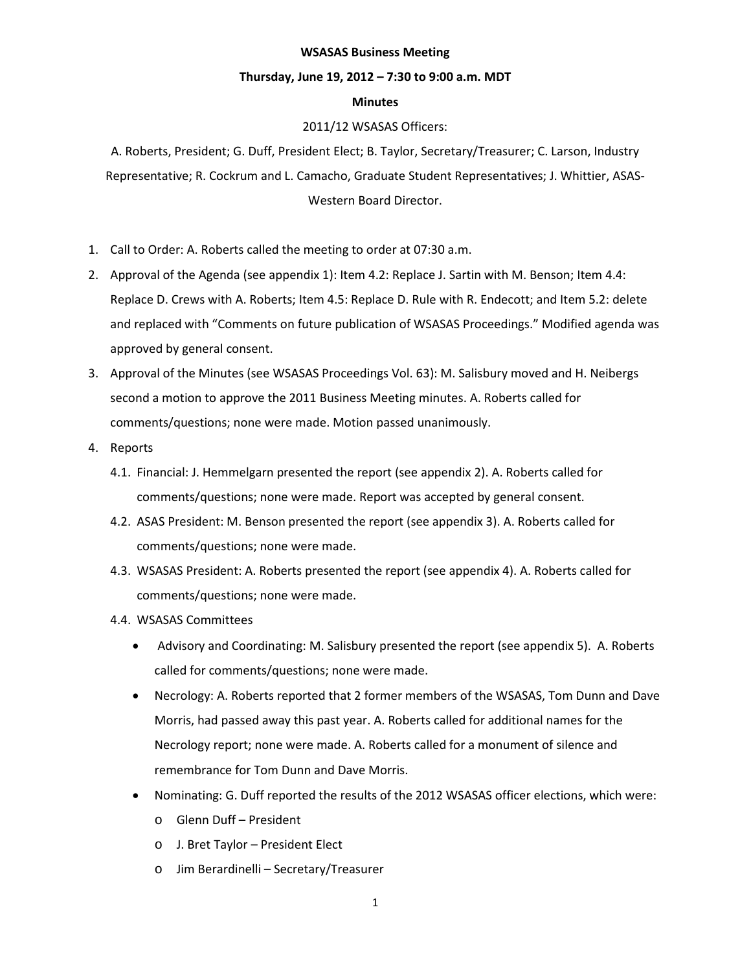# **WSASAS Business Meeting**

# **Thursday, June 19, 2012 – 7:30 to 9:00 a.m. MDT**

# **Minutes**

# 2011/12 WSASAS Officers:

A. Roberts, President; G. Duff, President Elect; B. Taylor, Secretary/Treasurer; C. Larson, Industry Representative; R. Cockrum and L. Camacho, Graduate Student Representatives; J. Whittier, ASAS-Western Board Director.

- 1. Call to Order: A. Roberts called the meeting to order at 07:30 a.m.
- 2. Approval of the Agenda (see appendix 1): Item 4.2: Replace J. Sartin with M. Benson; Item 4.4: Replace D. Crews with A. Roberts; Item 4.5: Replace D. Rule with R. Endecott; and Item 5.2: delete and replaced with "Comments on future publication of WSASAS Proceedings." Modified agenda was approved by general consent.
- 3. Approval of the Minutes (see WSASAS Proceedings Vol. 63): M. Salisbury moved and H. Neibergs second a motion to approve the 2011 Business Meeting minutes. A. Roberts called for comments/questions; none were made. Motion passed unanimously.
- 4. Reports
	- 4.1. Financial: J. Hemmelgarn presented the report (see appendix 2). A. Roberts called for comments/questions; none were made. Report was accepted by general consent.
	- 4.2. ASAS President: M. Benson presented the report (see appendix 3). A. Roberts called for comments/questions; none were made.
	- 4.3. WSASAS President: A. Roberts presented the report (see appendix 4). A. Roberts called for comments/questions; none were made.
	- 4.4. WSASAS Committees
		- Advisory and Coordinating: M. Salisbury presented the report (see appendix 5). A. Roberts called for comments/questions; none were made.
		- Necrology: A. Roberts reported that 2 former members of the WSASAS, Tom Dunn and Dave Morris, had passed away this past year. A. Roberts called for additional names for the Necrology report; none were made. A. Roberts called for a monument of silence and remembrance for Tom Dunn and Dave Morris.
		- Nominating: G. Duff reported the results of the 2012 WSASAS officer elections, which were:
			- o Glenn Duff President
			- o J. Bret Taylor President Elect
			- o Jim Berardinelli Secretary/Treasurer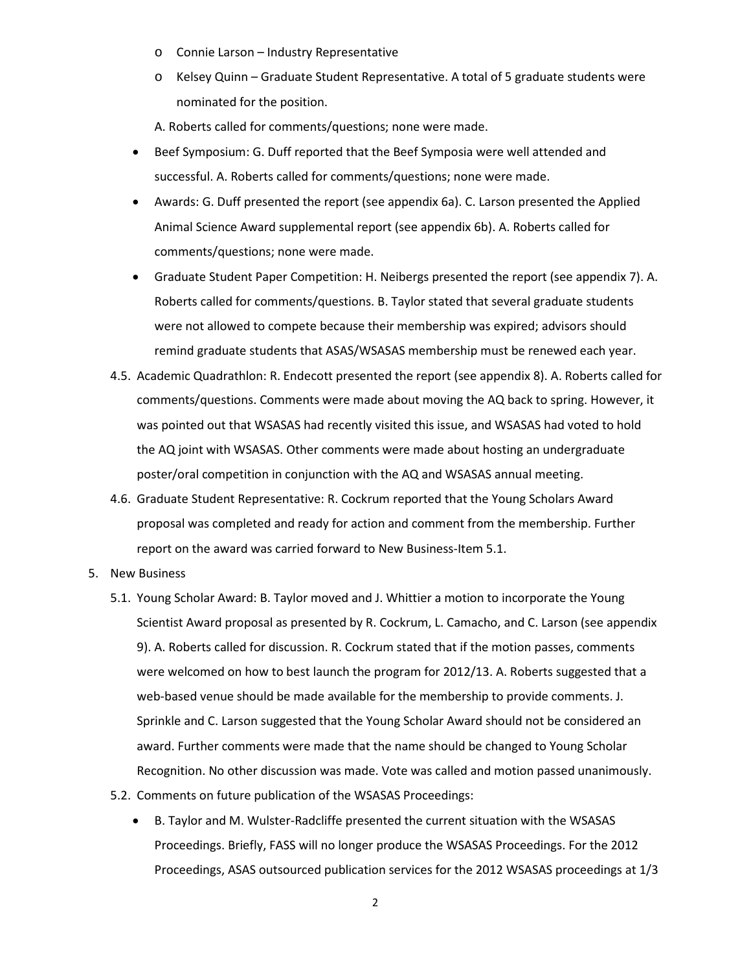- o Connie Larson Industry Representative
- o Kelsey Quinn Graduate Student Representative. A total of 5 graduate students were nominated for the position.

A. Roberts called for comments/questions; none were made.

- Beef Symposium: G. Duff reported that the Beef Symposia were well attended and successful. A. Roberts called for comments/questions; none were made.
- Awards: G. Duff presented the report (see appendix 6a). C. Larson presented the Applied Animal Science Award supplemental report (see appendix 6b). A. Roberts called for comments/questions; none were made.
- Graduate Student Paper Competition: H. Neibergs presented the report (see appendix 7). A. Roberts called for comments/questions. B. Taylor stated that several graduate students were not allowed to compete because their membership was expired; advisors should remind graduate students that ASAS/WSASAS membership must be renewed each year.
- 4.5. Academic Quadrathlon: R. Endecott presented the report (see appendix 8). A. Roberts called for comments/questions. Comments were made about moving the AQ back to spring. However, it was pointed out that WSASAS had recently visited this issue, and WSASAS had voted to hold the AQ joint with WSASAS. Other comments were made about hosting an undergraduate poster/oral competition in conjunction with the AQ and WSASAS annual meeting.
- 4.6. Graduate Student Representative: R. Cockrum reported that the Young Scholars Award proposal was completed and ready for action and comment from the membership. Further report on the award was carried forward to New Business-Item 5.1.
- 5. New Business
	- 5.1. Young Scholar Award: B. Taylor moved and J. Whittier a motion to incorporate the Young Scientist Award proposal as presented by R. Cockrum, L. Camacho, and C. Larson (see appendix 9). A. Roberts called for discussion. R. Cockrum stated that if the motion passes, comments were welcomed on how to best launch the program for 2012/13. A. Roberts suggested that a web-based venue should be made available for the membership to provide comments. J. Sprinkle and C. Larson suggested that the Young Scholar Award should not be considered an award. Further comments were made that the name should be changed to Young Scholar Recognition. No other discussion was made. Vote was called and motion passed unanimously.
	- 5.2. Comments on future publication of the WSASAS Proceedings:
		- B. Taylor and M. Wulster-Radcliffe presented the current situation with the WSASAS Proceedings. Briefly, FASS will no longer produce the WSASAS Proceedings. For the 2012 Proceedings, ASAS outsourced publication services for the 2012 WSASAS proceedings at 1/3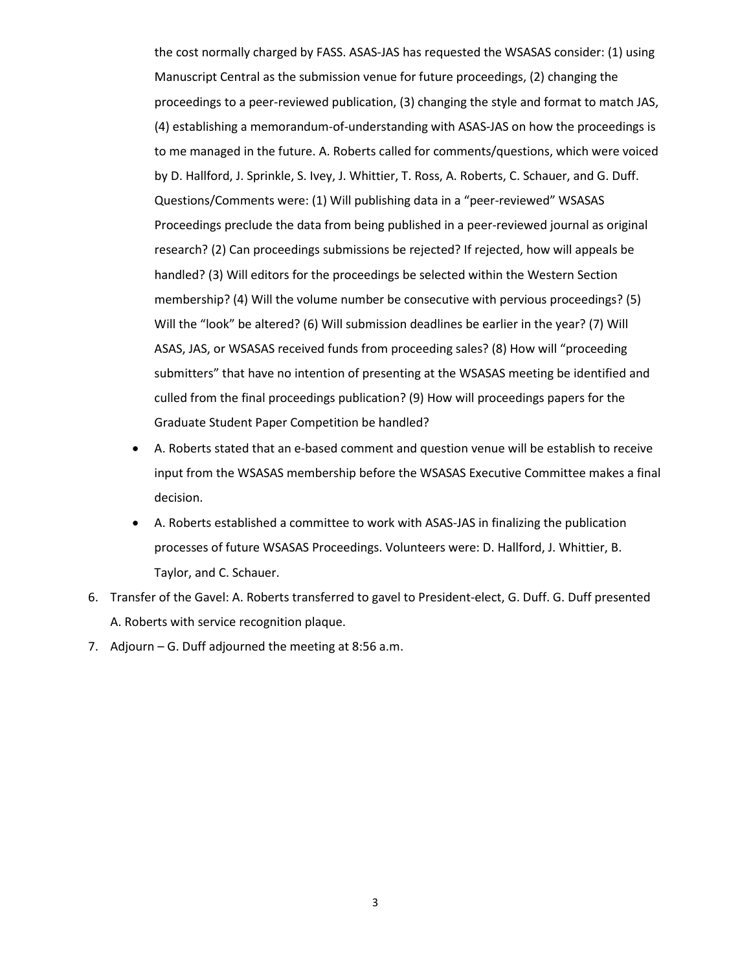the cost normally charged by FASS. ASAS-JAS has requested the WSASAS consider: (1) using Manuscript Central as the submission venue for future proceedings, (2) changing the proceedings to a peer-reviewed publication, (3) changing the style and format to match JAS, (4) establishing a memorandum-of-understanding with ASAS-JAS on how the proceedings is to me managed in the future. A. Roberts called for comments/questions, which were voiced by D. Hallford, J. Sprinkle, S. Ivey, J. Whittier, T. Ross, A. Roberts, C. Schauer, and G. Duff. Questions/Comments were: (1) Will publishing data in a "peer-reviewed" WSASAS Proceedings preclude the data from being published in a peer-reviewed journal as original research? (2) Can proceedings submissions be rejected? If rejected, how will appeals be handled? (3) Will editors for the proceedings be selected within the Western Section membership? (4) Will the volume number be consecutive with pervious proceedings? (5) Will the "look" be altered? (6) Will submission deadlines be earlier in the year? (7) Will ASAS, JAS, or WSASAS received funds from proceeding sales? (8) How will "proceeding submitters" that have no intention of presenting at the WSASAS meeting be identified and culled from the final proceedings publication? (9) How will proceedings papers for the Graduate Student Paper Competition be handled?

- A. Roberts stated that an e-based comment and question venue will be establish to receive input from the WSASAS membership before the WSASAS Executive Committee makes a final decision.
- A. Roberts established a committee to work with ASAS-JAS in finalizing the publication processes of future WSASAS Proceedings. Volunteers were: D. Hallford, J. Whittier, B. Taylor, and C. Schauer.
- 6. Transfer of the Gavel: A. Roberts transferred to gavel to President-elect, G. Duff. G. Duff presented A. Roberts with service recognition plaque.
- 7. Adjourn G. Duff adjourned the meeting at 8:56 a.m.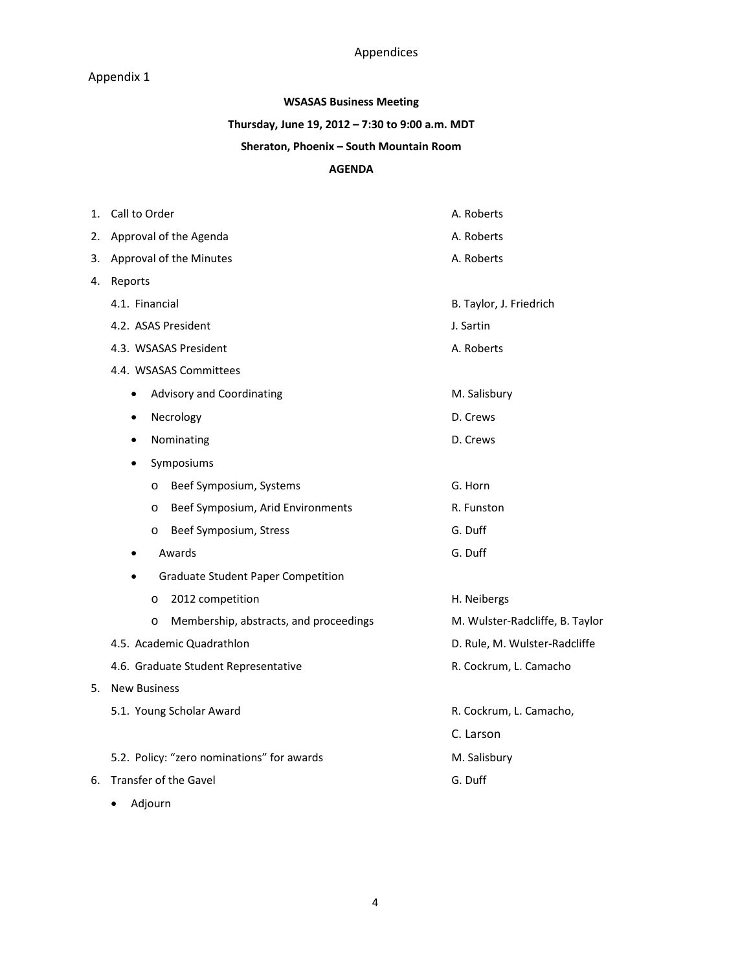# Appendices

# Appendix 1

# **WSASAS Business Meeting**

# **Thursday, June 19, 2012 – 7:30 to 9:00 a.m. MDT**

# **Sheraton, Phoenix – South Mountain Room**

# **AGENDA**

| 1. | Call to Order                                | A. Roberts                      |
|----|----------------------------------------------|---------------------------------|
| 2. | Approval of the Agenda                       | A. Roberts                      |
| 3. | Approval of the Minutes                      | A. Roberts                      |
| 4. | Reports                                      |                                 |
|    | 4.1. Financial                               | B. Taylor, J. Friedrich         |
|    | 4.2. ASAS President                          | J. Sartin                       |
|    | 4.3. WSASAS President                        | A. Roberts                      |
|    | 4.4. WSASAS Committees                       |                                 |
|    | Advisory and Coordinating<br>$\bullet$       | M. Salisbury                    |
|    | Necrology<br>$\bullet$                       | D. Crews                        |
|    | Nominating<br>٠                              | D. Crews                        |
|    | Symposiums<br>٠                              |                                 |
|    | Beef Symposium, Systems<br>O                 | G. Horn                         |
|    | Beef Symposium, Arid Environments<br>$\circ$ | R. Funston                      |
|    | Beef Symposium, Stress<br>O                  | G. Duff                         |
|    | Awards<br>$\bullet$                          | G. Duff                         |
|    | <b>Graduate Student Paper Competition</b>    |                                 |
|    | 2012 competition<br>$\circ$                  | H. Neibergs                     |
|    | Membership, abstracts, and proceedings<br>O  | M. Wulster-Radcliffe, B. Taylor |
|    | 4.5. Academic Quadrathlon                    | D. Rule, M. Wulster-Radcliffe   |
|    | 4.6. Graduate Student Representative         | R. Cockrum, L. Camacho          |
| 5. | <b>New Business</b>                          |                                 |
|    | 5.1. Young Scholar Award                     | R. Cockrum, L. Camacho,         |
|    |                                              | C. Larson                       |
|    | 5.2. Policy: "zero nominations" for awards   | M. Salisbury                    |
| 6. | <b>Transfer of the Gavel</b>                 | G. Duff                         |
|    | Adjourn<br>٠                                 |                                 |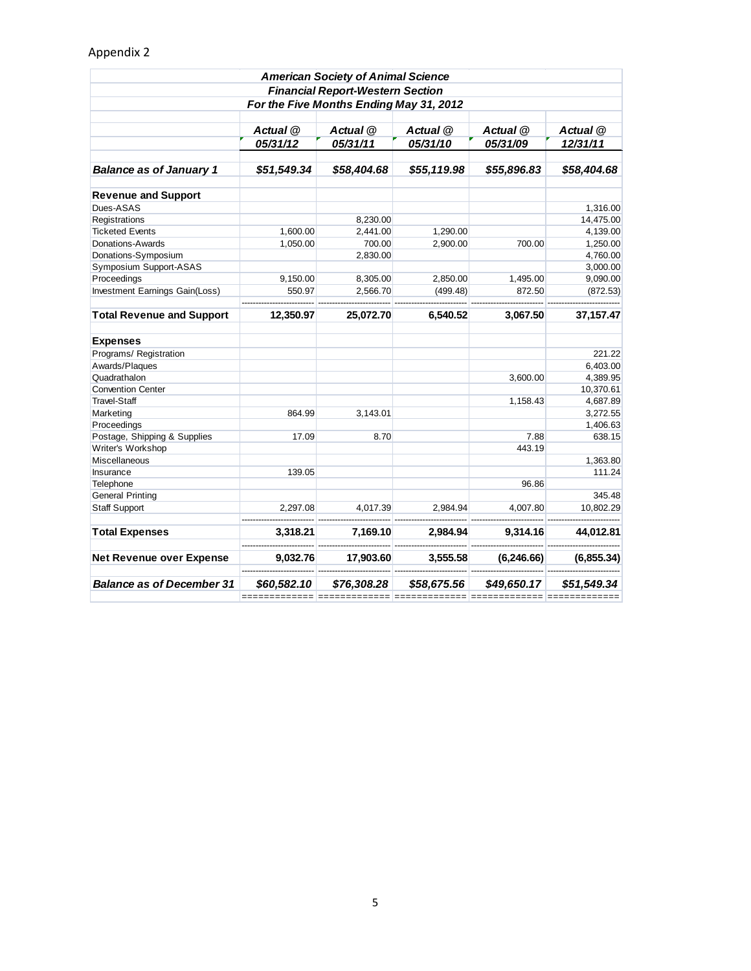| <b>American Society of Animal Science</b><br><b>Financial Report-Western Section</b><br>For the Five Months Ending May 31, 2012 |                              |             |             |             |             |                                                          |          |          |          |          |          |  |
|---------------------------------------------------------------------------------------------------------------------------------|------------------------------|-------------|-------------|-------------|-------------|----------------------------------------------------------|----------|----------|----------|----------|----------|--|
|                                                                                                                                 |                              |             |             |             |             | Actual @<br>Actual @<br>Actual @<br>Actual @<br>Actual @ |          |          |          |          |          |  |
|                                                                                                                                 |                              |             |             |             |             |                                                          | 05/31/12 | 05/31/11 | 05/31/10 | 05/31/09 | 12/31/11 |  |
|                                                                                                                                 |                              |             |             |             |             |                                                          |          |          |          |          |          |  |
| <b>Balance as of January 1</b>                                                                                                  | \$51,549.34                  | \$58,404.68 | \$55,119.98 | \$55,896.83 | \$58,404.68 |                                                          |          |          |          |          |          |  |
| <b>Revenue and Support</b>                                                                                                      |                              |             |             |             |             |                                                          |          |          |          |          |          |  |
| Dues-ASAS                                                                                                                       |                              |             |             |             | 1,316.00    |                                                          |          |          |          |          |          |  |
| Registrations                                                                                                                   |                              | 8,230.00    |             |             | 14,475.00   |                                                          |          |          |          |          |          |  |
| <b>Ticketed Events</b>                                                                                                          | 1,600.00                     | 2,441.00    | 1,290.00    |             | 4,139.00    |                                                          |          |          |          |          |          |  |
| Donations-Awards                                                                                                                | 1,050.00                     | 700.00      | 2,900.00    | 700.00      | 1,250.00    |                                                          |          |          |          |          |          |  |
| Donations-Symposium                                                                                                             |                              | 2,830.00    |             |             | 4,760.00    |                                                          |          |          |          |          |          |  |
| Symposium Support-ASAS                                                                                                          |                              |             |             |             | 3,000.00    |                                                          |          |          |          |          |          |  |
| Proceedings                                                                                                                     | 9,150.00                     | 8,305.00    | 2,850.00    | 1,495.00    | 9,090.00    |                                                          |          |          |          |          |          |  |
| Investment Earnings Gain(Loss)                                                                                                  | 550.97                       | 2,566.70    | (499.48)    | 872.50      | (872.53)    |                                                          |          |          |          |          |          |  |
| <b>Total Revenue and Support</b>                                                                                                | 12,350.97                    | 25,072.70   | 6,540.52    | 3,067.50    | 37,157.47   |                                                          |          |          |          |          |          |  |
| <b>Expenses</b>                                                                                                                 |                              |             |             |             |             |                                                          |          |          |          |          |          |  |
| Programs/ Registration                                                                                                          |                              |             |             |             | 221.22      |                                                          |          |          |          |          |          |  |
| Awards/Plaques                                                                                                                  |                              |             |             |             | 6,403.00    |                                                          |          |          |          |          |          |  |
| Quadrathalon                                                                                                                    |                              |             |             | 3,600.00    | 4,389.95    |                                                          |          |          |          |          |          |  |
| <b>Convention Center</b>                                                                                                        |                              |             |             |             | 10,370.61   |                                                          |          |          |          |          |          |  |
| <b>Travel-Staff</b>                                                                                                             |                              |             |             | 1,158.43    | 4,687.89    |                                                          |          |          |          |          |          |  |
| Marketing                                                                                                                       | 864.99                       | 3,143.01    |             |             | 3,272.55    |                                                          |          |          |          |          |          |  |
| Proceedings                                                                                                                     |                              |             |             |             | 1,406.63    |                                                          |          |          |          |          |          |  |
| Postage, Shipping & Supplies                                                                                                    | 17.09                        | 8.70        |             | 7.88        | 638.15      |                                                          |          |          |          |          |          |  |
| Writer's Workshop                                                                                                               |                              |             |             | 443.19      |             |                                                          |          |          |          |          |          |  |
| Miscellaneous                                                                                                                   |                              |             |             |             | 1,363.80    |                                                          |          |          |          |          |          |  |
| Insurance                                                                                                                       | 139.05                       |             |             |             | 111.24      |                                                          |          |          |          |          |          |  |
| Telephone                                                                                                                       |                              |             |             | 96.86       |             |                                                          |          |          |          |          |          |  |
| <b>General Printing</b>                                                                                                         |                              |             |             |             | 345.48      |                                                          |          |          |          |          |          |  |
| <b>Staff Support</b>                                                                                                            | 2,297.08                     | 4,017.39    | 2,984.94    | 4,007.80    | 10,802.29   |                                                          |          |          |          |          |          |  |
| <b>Total Expenses</b>                                                                                                           | 3,318.21                     | 7,169.10    | 2.984.94    | 9,314.16    | 44,012.81   |                                                          |          |          |          |          |          |  |
| <b>Net Revenue over Expense</b>                                                                                                 | 9,032.76                     | 17,903.60   | 3,555.58    | (6, 246.66) | (6,855.34)  |                                                          |          |          |          |          |          |  |
| <b>Balance as of December 31</b>                                                                                                | \$60,582.10<br>============= | \$76,308.28 | \$58,675.56 | \$49,650.17 | \$51,549.34 |                                                          |          |          |          |          |          |  |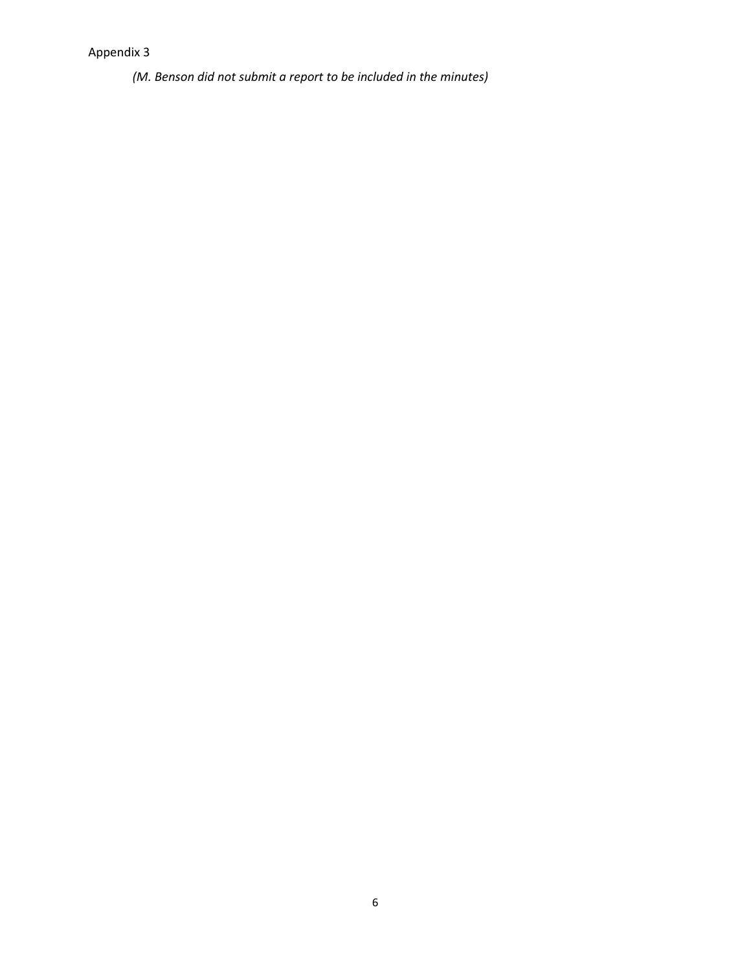*(M. Benson did not submit a report to be included in the minutes)*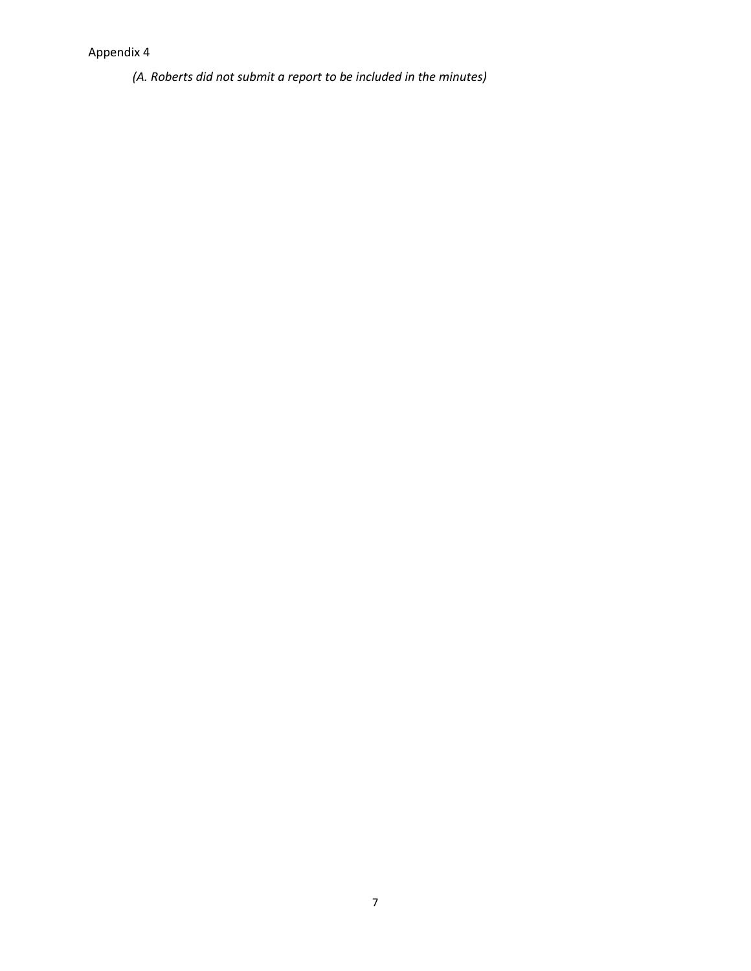*(A. Roberts did not submit a report to be included in the minutes)*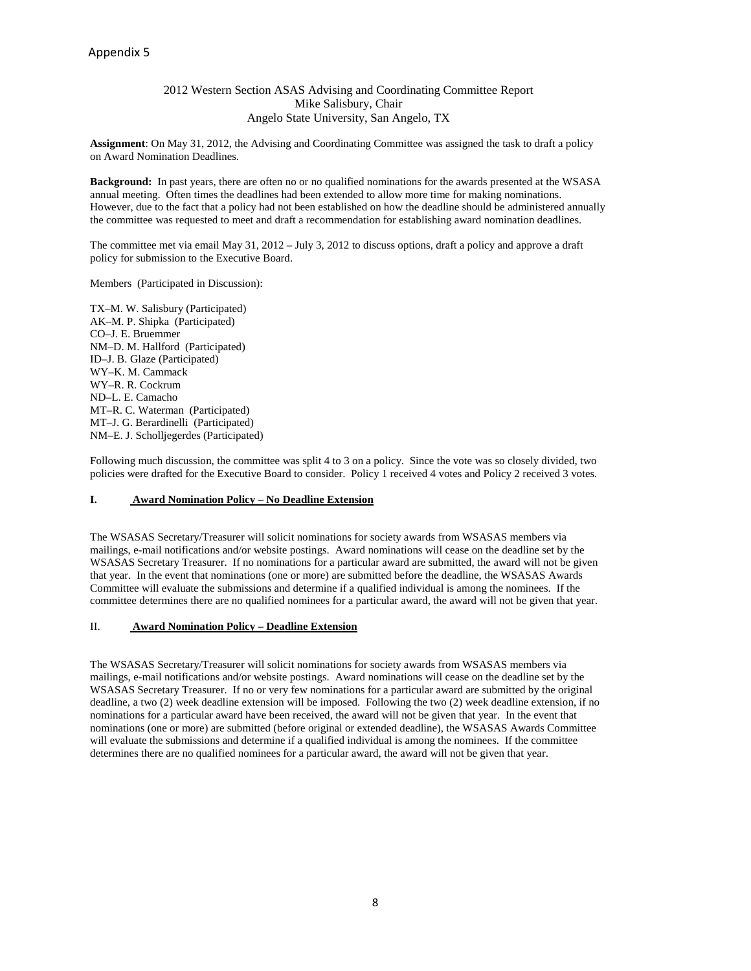# 2012 Western Section ASAS Advising and Coordinating Committee Report Mike Salisbury, Chair Angelo State University, San Angelo, TX

**Assignment**: On May 31, 2012, the Advising and Coordinating Committee was assigned the task to draft a policy on Award Nomination Deadlines.

**Background:** In past years, there are often no or no qualified nominations for the awards presented at the WSASA annual meeting. Often times the deadlines had been extended to allow more time for making nominations. However, due to the fact that a policy had not been established on how the deadline should be administered annually the committee was requested to meet and draft a recommendation for establishing award nomination deadlines.

The committee met via email May 31, 2012 – July 3, 2012 to discuss options, draft a policy and approve a draft policy for submission to the Executive Board.

Members (Participated in Discussion):

TX–M. W. Salisbury (Participated) AK–M. P. Shipka (Participated) CO–J. E. Bruemmer NM–D. M. Hallford (Participated) ID–J. B. Glaze (Participated) WY–K. M. Cammack WY–R. R. Cockrum ND–L. E. Camacho MT–R. C. Waterman (Participated) MT–J. G. Berardinelli (Participated) NM–E. J. Scholljegerdes (Participated)

Following much discussion, the committee was split 4 to 3 on a policy. Since the vote was so closely divided, two policies were drafted for the Executive Board to consider. Policy 1 received 4 votes and Policy 2 received 3 votes.

# **I. Award Nomination Policy – No Deadline Extension**

The WSASAS Secretary/Treasurer will solicit nominations for society awards from WSASAS members via mailings, e-mail notifications and/or website postings. Award nominations will cease on the deadline set by the WSASAS Secretary Treasurer. If no nominations for a particular award are submitted, the award will not be given that year. In the event that nominations (one or more) are submitted before the deadline, the WSASAS Awards Committee will evaluate the submissions and determine if a qualified individual is among the nominees. If the committee determines there are no qualified nominees for a particular award, the award will not be given that year.

# II. **Award Nomination Policy – Deadline Extension**

The WSASAS Secretary/Treasurer will solicit nominations for society awards from WSASAS members via mailings, e-mail notifications and/or website postings. Award nominations will cease on the deadline set by the WSASAS Secretary Treasurer. If no or very few nominations for a particular award are submitted by the original deadline, a two (2) week deadline extension will be imposed. Following the two (2) week deadline extension, if no nominations for a particular award have been received, the award will not be given that year. In the event that nominations (one or more) are submitted (before original or extended deadline), the WSASAS Awards Committee will evaluate the submissions and determine if a qualified individual is among the nominees. If the committee determines there are no qualified nominees for a particular award, the award will not be given that year.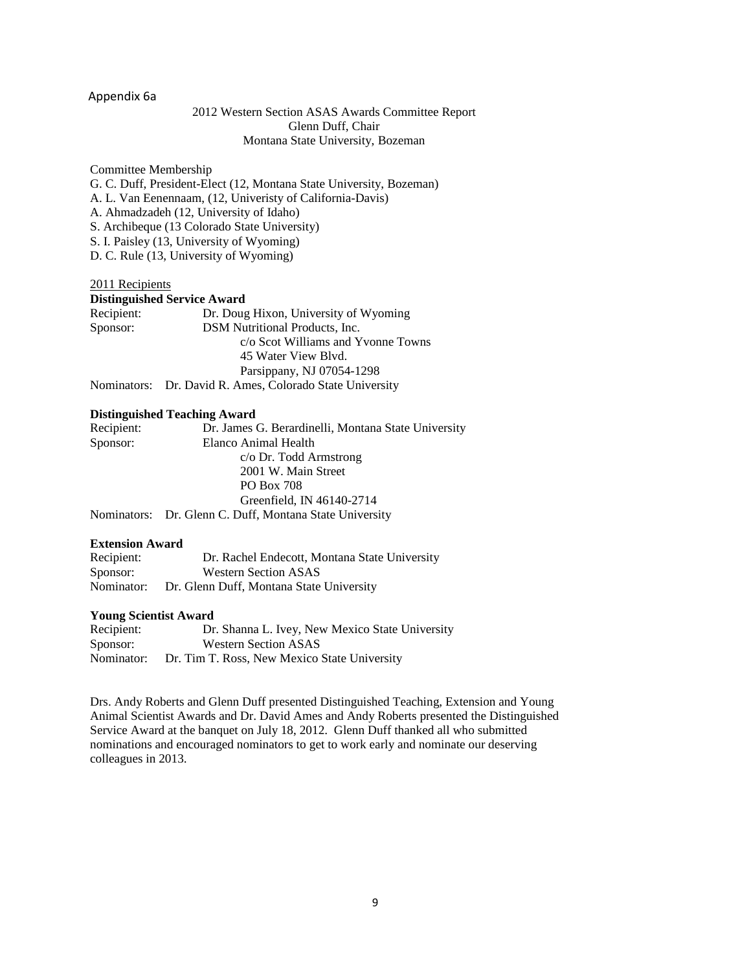# Appendix 6a

# 2012 Western Section ASAS Awards Committee Report Glenn Duff, Chair Montana State University, Bozeman

Committee Membership G. C. Duff, President-Elect (12, Montana State University, Bozeman) A. L. Van Eenennaam, (12, Univeristy of California-Davis) A. Ahmadzadeh (12, University of Idaho) S. Archibeque (13 Colorado State University) S. I. Paisley (13, University of Wyoming) D. C. Rule (13, University of Wyoming)

# 2011 Recipients

| <b>Distinguished Service Award</b> |                                                          |  |  |  |
|------------------------------------|----------------------------------------------------------|--|--|--|
| Recipient:                         | Dr. Doug Hixon, University of Wyoming                    |  |  |  |
| Sponsor:                           | DSM Nutritional Products, Inc.                           |  |  |  |
|                                    | c/o Scot Williams and Yvonne Towns                       |  |  |  |
|                                    | 45 Water View Blvd.                                      |  |  |  |
|                                    | Parsippany, NJ 07054-1298                                |  |  |  |
|                                    | Nominators: Dr. David R. Ames, Colorado State University |  |  |  |

## **Distinguished Teaching Award**

| Recipient: | Dr. James G. Berardinelli, Montana State University     |
|------------|---------------------------------------------------------|
| Sponsor:   | Elanco Animal Health                                    |
|            | $c$ /o Dr. Todd Armstrong                               |
|            | 2001 W. Main Street                                     |
|            | <b>PO Box 708</b>                                       |
|            | Greenfield, IN 46140-2714                               |
|            | Nominators: Dr. Glenn C. Duff, Montana State University |

### **Extension Award**

| Recipient: | Dr. Rachel Endecott, Montana State University |
|------------|-----------------------------------------------|
| Sponsor:   | <b>Western Section ASAS</b>                   |
| Nominator: | Dr. Glenn Duff, Montana State University      |

### **Young Scientist Award**

| Recipient: | Dr. Shanna L. Ivey, New Mexico State University |
|------------|-------------------------------------------------|
| Sponsor:   | <b>Western Section ASAS</b>                     |
| Nominator: | Dr. Tim T. Ross, New Mexico State University    |

Drs. Andy Roberts and Glenn Duff presented Distinguished Teaching, Extension and Young Animal Scientist Awards and Dr. David Ames and Andy Roberts presented the Distinguished Service Award at the banquet on July 18, 2012. Glenn Duff thanked all who submitted nominations and encouraged nominators to get to work early and nominate our deserving colleagues in 2013.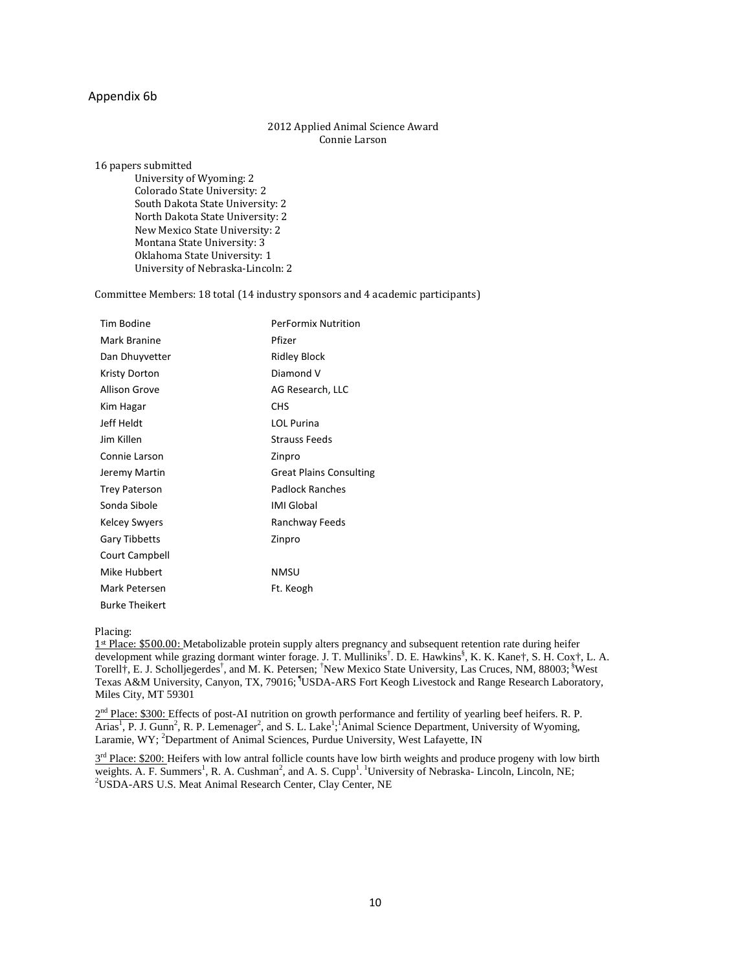# Appendix 6b

## 2012 Applied Animal Science Award Connie Larson

16 papers submitted

University of Wyoming: 2 Colorado State University: 2 South Dakota State University: 2 North Dakota State University: 2 New Mexico State University: 2 Montana State University: 3 Oklahoma State University: 1 University of Nebraska-Lincoln: 2

Committee Members: 18 total (14 industry sponsors and 4 academic participants)

| <b>Tim Bodine</b>     | <b>PerFormix Nutrition</b>     |
|-----------------------|--------------------------------|
| Mark Branine          | Pfizer                         |
| Dan Dhuyvetter        | Ridley Block                   |
| Kristy Dorton         | Diamond V                      |
| <b>Allison Grove</b>  | AG Research, LLC               |
| Kim Hagar             | <b>CHS</b>                     |
| Jeff Heldt            | <b>LOL Purina</b>              |
| Jim Killen            | Strauss Feeds                  |
| Connie Larson         | Zinpro                         |
| Jeremy Martin         | <b>Great Plains Consulting</b> |
| <b>Trey Paterson</b>  | Padlock Ranches                |
| Sonda Sibole          | <b>IMI Global</b>              |
| <b>Kelcey Swyers</b>  | Ranchway Feeds                 |
| <b>Gary Tibbetts</b>  | Zinpro                         |
| Court Campbell        |                                |
| Mike Hubbert          | NMSU                           |
| Mark Petersen         | Ft. Keogh                      |
| <b>Burke Theikert</b> |                                |

Placing:

1st Place: \$500.00: Metabolizable protein supply alters pregnancy and subsequent retention rate during heifer development while grazing dormant winter forage. J. T. Mulliniks<sup>†</sup>. D. E. Hawkins<sup>§</sup>, K. K. Kane†, S. H. Cox†, L. A. Torell<sup>‡</sup>, E. J. Scholljegerdes<sup>†</sup>, and M. K. Petersen; <sup>†</sup>New Mexico State University, Las Cruces, NM, 88003; <sup>§</sup>West Texas A&M University, Canyon, TX, 79016; <sup>1</sup>USDA-ARS Fort Keogh Livestock and Range Research Laboratory, Miles City, MT 59301

 $2<sup>nd</sup>$  Place: \$300: Effects of post-AI nutrition on growth performance and fertility of yearling beef heifers. R. P. Arias<sup>1</sup>, P. J. Gunn<sup>2</sup>, R. P. Lemenager<sup>2</sup>, and S. L. Lake<sup>1</sup>;<sup>1</sup>Animal Science Department, University of Wyoming, Laramie, WY; <sup>2</sup>Department of Animal Sciences, Purdue University, West Lafayette, IN

 $3<sup>rd</sup>$  Place: \$200: Heifers with low antral follicle counts have low birth weights and produce progeny with low birth weights. A. F. Summers<sup>1</sup>, R. A. Cushman<sup>2</sup>, and A. S. Cupp<sup>1</sup>. <sup>1</sup>University of Nebraska- Lincoln, Lincoln, NE;<br><sup>2</sup>USDA, ABS U.S. Mart Animal Bassarsh Captar, Clay Captar, NE <sup>2</sup>USDA-ARS U.S. Meat Animal Research Center, Clay Center, NE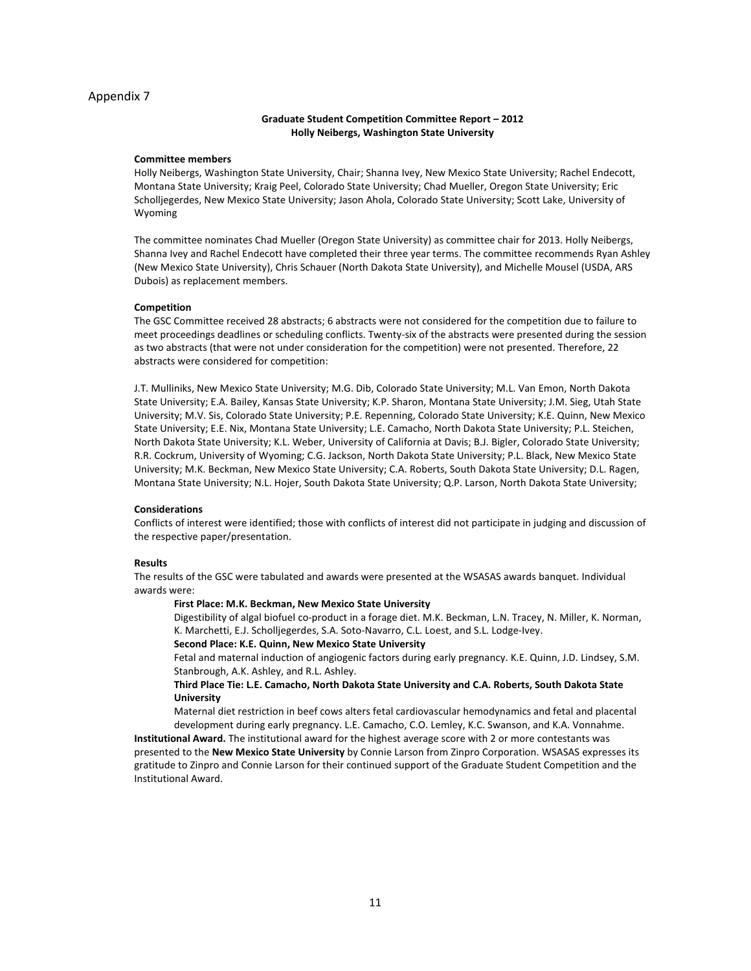#### **Graduate Student Competition Committee Report – 2012 Holly Neibergs, Washington State University**

#### **Committee members**

Holly Neibergs, Washington State University, Chair; Shanna Ivey, New Mexico State University; Rachel Endecott, Montana State University; Kraig Peel, Colorado State University; Chad Mueller, Oregon State University; Eric Scholljegerdes, New Mexico State University; Jason Ahola, Colorado State University; Scott Lake, University of Wyoming

The committee nominates Chad Mueller (Oregon State University) as committee chair for 2013. Holly Neibergs, Shanna Ivey and Rachel Endecott have completed their three year terms. The committee recommends Ryan Ashley (New Mexico State University), Chris Schauer (North Dakota State University), and Michelle Mousel (USDA, ARS Dubois) as replacement members.

#### **Competition**

The GSC Committee received 28 abstracts; 6 abstracts were not considered for the competition due to failure to meet proceedings deadlines or scheduling conflicts. Twenty-six of the abstracts were presented during the session as two abstracts (that were not under consideration for the competition) were not presented. Therefore, 22 abstracts were considered for competition:

J.T. Mulliniks, New Mexico State University; M.G. Dib, Colorado State University; M.L. Van Emon, North Dakota State University; E.A. Bailey, Kansas State University; K.P. Sharon, Montana State University; J.M. Sieg, Utah State University; M.V. Sis, Colorado State University; P.E. Repenning, Colorado State University; K.E. Quinn, New Mexico State University; E.E. Nix, Montana State University; L.E. Camacho, North Dakota State University; P.L. Steichen, North Dakota State University; K.L. Weber, University of California at Davis; B.J. Bigler, Colorado State University; R.R. Cockrum, University of Wyoming; C.G. Jackson, North Dakota State University; P.L. Black, New Mexico State University; M.K. Beckman, New Mexico State University; C.A. Roberts, South Dakota State University; D.L. Ragen, Montana State University; N.L. Hojer, South Dakota State University; Q.P. Larson, North Dakota State University;

#### **Considerations**

Conflicts of interest were identified; those with conflicts of interest did not participate in judging and discussion of the respective paper/presentation.

#### **Results**

The results of the GSC were tabulated and awards were presented at the WSASAS awards banquet. Individual awards were:

#### **First Place: M.K. Beckman, New Mexico State University**

Digestibility of algal biofuel co-product in a forage diet. M.K. Beckman, L.N. Tracey, N. Miller, K. Norman, K. Marchetti, E.J. Scholljegerdes, S.A. Soto-Navarro, C.L. Loest, and S.L. Lodge-Ivey.

**Second Place: K.E. Quinn, New Mexico State University**

Fetal and maternal induction of angiogenic factors during early pregnancy. K.E. Quinn, J.D. Lindsey, S.M. Stanbrough, A.K. Ashley, and R.L. Ashley.

#### **Third Place Tie: L.E. Camacho, North Dakota State University and C.A. Roberts, South Dakota State University**

Maternal diet restriction in beef cows alters fetal cardiovascular hemodynamics and fetal and placental development during early pregnancy. L.E. Camacho, C.O. Lemley, K.C. Swanson, and K.A. Vonnahme.

**Institutional Award.** The institutional award for the highest average score with 2 or more contestants was presented to the **New Mexico State University** by Connie Larson from Zinpro Corporation. WSASAS expresses its gratitude to Zinpro and Connie Larson for their continued support of the Graduate Student Competition and the Institutional Award.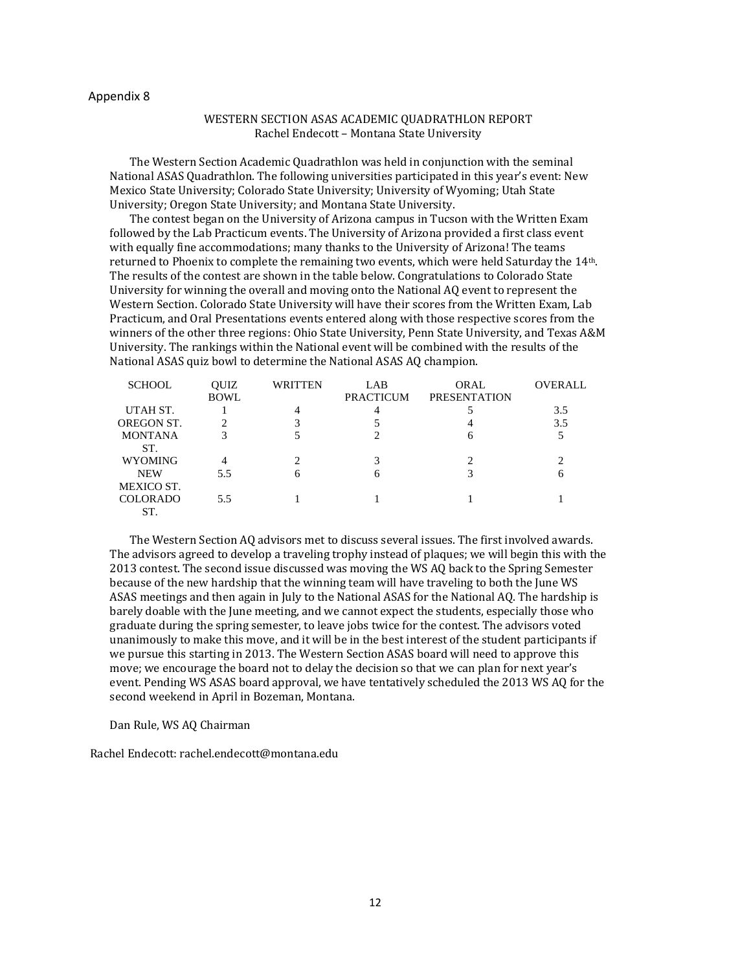# WESTERN SECTION ASAS ACADEMIC QUADRATHLON REPORT Rachel Endecott – Montana State University

The Western Section Academic Quadrathlon was held in conjunction with the seminal National ASAS Quadrathlon. The following universities participated in this year's event: New Mexico State University; Colorado State University; University of Wyoming; Utah State University; Oregon State University; and Montana State University.

The contest began on the University of Arizona campus in Tucson with the Written Exam followed by the Lab Practicum events. The University of Arizona provided a first class event with equally fine accommodations; many thanks to the University of Arizona! The teams returned to Phoenix to complete the remaining two events, which were held Saturday the 14th. The results of the contest are shown in the table below. Congratulations to Colorado State University for winning the overall and moving onto the National AQ event to represent the Western Section. Colorado State University will have their scores from the Written Exam, Lab Practicum, and Oral Presentations events entered along with those respective scores from the winners of the other three regions: Ohio State University, Penn State University, and Texas A&M University. The rankings within the National event will be combined with the results of the National ASAS quiz bowl to determine the National ASAS AQ champion.

| <b>SCHOOL</b>   | <b>OUIZ</b> | <b>WRITTEN</b> | LAB              | <b>ORAL</b>         | OVERALL |
|-----------------|-------------|----------------|------------------|---------------------|---------|
|                 | <b>BOWL</b> |                | <b>PRACTICUM</b> | <b>PRESENTATION</b> |         |
| UTAH ST.        |             |                |                  |                     | 3.5     |
| OREGON ST.      |             |                |                  |                     | 3.5     |
| <b>MONTANA</b>  | 3           |                |                  |                     |         |
| ST.             |             |                |                  |                     |         |
| <b>WYOMING</b>  | 4           |                |                  |                     |         |
| <b>NEW</b>      | 5.5         | 6              |                  |                     |         |
| MEXICO ST.      |             |                |                  |                     |         |
| <b>COLORADO</b> | 5.5         |                |                  |                     |         |
| ST.             |             |                |                  |                     |         |

The Western Section AQ advisors met to discuss several issues. The first involved awards. The advisors agreed to develop a traveling trophy instead of plaques; we will begin this with the 2013 contest. The second issue discussed was moving the WS AQ back to the Spring Semester because of the new hardship that the winning team will have traveling to both the June WS ASAS meetings and then again in July to the National ASAS for the National AQ. The hardship is barely doable with the June meeting, and we cannot expect the students, especially those who graduate during the spring semester, to leave jobs twice for the contest. The advisors voted unanimously to make this move, and it will be in the best interest of the student participants if we pursue this starting in 2013. The Western Section ASAS board will need to approve this move; we encourage the board not to delay the decision so that we can plan for next year's event. Pending WS ASAS board approval, we have tentatively scheduled the 2013 WS AQ for the second weekend in April in Bozeman, Montana.

Dan Rule, WS AQ Chairman

Rachel Endecott: rachel.endecott@montana.edu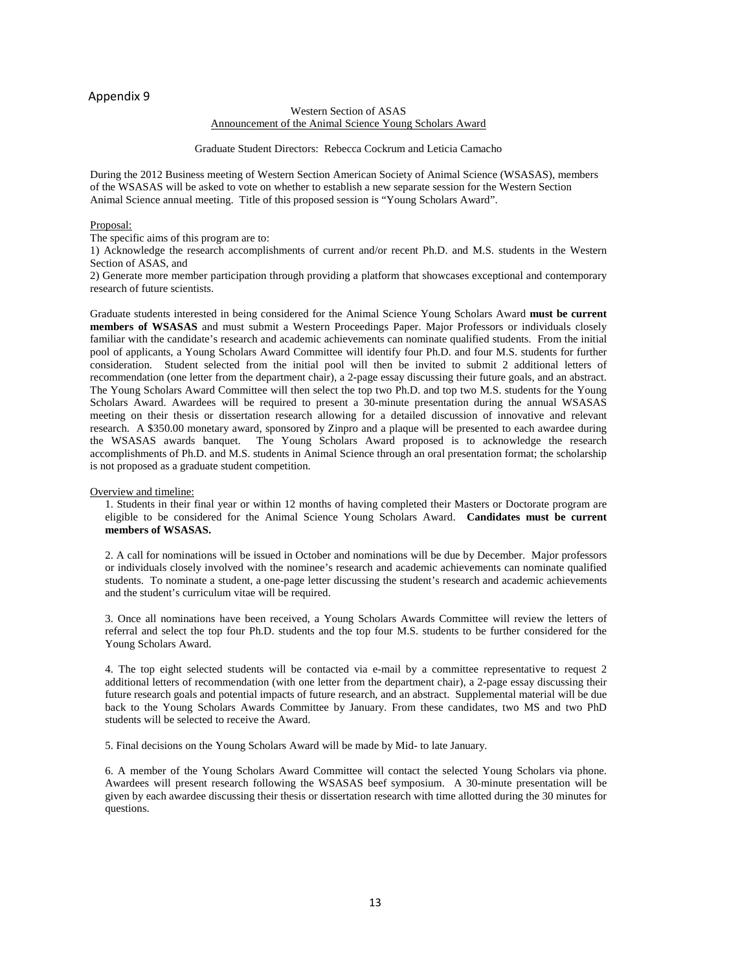#### Western Section of ASAS Announcement of the Animal Science Young Scholars Award

#### Graduate Student Directors: Rebecca Cockrum and Leticia Camacho

During the 2012 Business meeting of Western Section American Society of Animal Science (WSASAS), members of the WSASAS will be asked to vote on whether to establish a new separate session for the Western Section Animal Science annual meeting. Title of this proposed session is "Young Scholars Award".

#### Proposal:

The specific aims of this program are to:

1) Acknowledge the research accomplishments of current and/or recent Ph.D. and M.S. students in the Western Section of ASAS, and

2) Generate more member participation through providing a platform that showcases exceptional and contemporary research of future scientists.

Graduate students interested in being considered for the Animal Science Young Scholars Award **must be current members of WSASAS** and must submit a Western Proceedings Paper. Major Professors or individuals closely familiar with the candidate's research and academic achievements can nominate qualified students. From the initial pool of applicants, a Young Scholars Award Committee will identify four Ph.D. and four M.S. students for further consideration. Student selected from the initial pool will then be invited to submit 2 additional letters of recommendation (one letter from the department chair), a 2-page essay discussing their future goals, and an abstract. The Young Scholars Award Committee will then select the top two Ph.D. and top two M.S. students for the Young Scholars Award. Awardees will be required to present a 30-minute presentation during the annual WSASAS meeting on their thesis or dissertation research allowing for a detailed discussion of innovative and relevant research. A \$350.00 monetary award, sponsored by Zinpro and a plaque will be presented to each awardee during the WSASAS awards banquet. The Young Scholars Award proposed is to acknowledge the research accomplishments of Ph.D. and M.S. students in Animal Science through an oral presentation format; the scholarship is not proposed as a graduate student competition.

#### Overview and timeline:

1. Students in their final year or within 12 months of having completed their Masters or Doctorate program are eligible to be considered for the Animal Science Young Scholars Award. **Candidates must be current members of WSASAS.**

2. A call for nominations will be issued in October and nominations will be due by December. Major professors or individuals closely involved with the nominee's research and academic achievements can nominate qualified students. To nominate a student, a one-page letter discussing the student's research and academic achievements and the student's curriculum vitae will be required.

3. Once all nominations have been received, a Young Scholars Awards Committee will review the letters of referral and select the top four Ph.D. students and the top four M.S. students to be further considered for the Young Scholars Award.

4. The top eight selected students will be contacted via e-mail by a committee representative to request 2 additional letters of recommendation (with one letter from the department chair), a 2-page essay discussing their future research goals and potential impacts of future research, and an abstract. Supplemental material will be due back to the Young Scholars Awards Committee by January. From these candidates, two MS and two PhD students will be selected to receive the Award.

5. Final decisions on the Young Scholars Award will be made by Mid- to late January.

6. A member of the Young Scholars Award Committee will contact the selected Young Scholars via phone. Awardees will present research following the WSASAS beef symposium. A 30-minute presentation will be given by each awardee discussing their thesis or dissertation research with time allotted during the 30 minutes for questions.